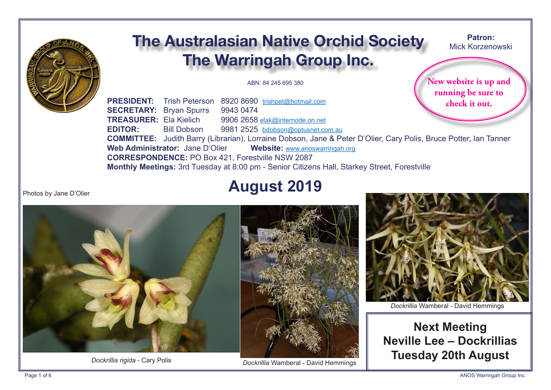

# **The Australasian Native Orchid Society The Warringah Group Inc.**

ABN: 84 245 695 380

New website is up and running be sure to check it out.

Patron:

Mick Korzenowski

PRESIDENT: Trish Peterson 8920 8690 trishpet@hotmail.com **SECRETARY: Brvan Spurrs** 9943 0474 **TREASURER: Ela Kielich** 9906 2658 elak@internode.on.net  $F$ DITOR $\cdot$ 9981 2525 bdobson@optusnet.com.au **Bill Dobson COMMITTEE:** Judith Barry (Librarian), Lorraine Dobson, Jane & Peter D'Olier, Cary Polis, Bruce Potter, Ian Tanner Web Administrator: Jane D'Olier Website: www.anoswarringah.org **CORRESPONDENCE: PO Box 421. Forestville NSW 2087** Monthly Meetings: 3rd Tuesday at 8:00 pm - Senior Citizens Hall, Starkey Street, Forestville

**August 2019** 

Photos by Jane D'Olier



Dockrillia rigida - Cary Polis



Dockrillia Wamberal - David Hemmings



Dockrillia Wamberal - David Hemmings

**Next Meeting** Neville Lee - Dockrillias **Tuesday 20th August**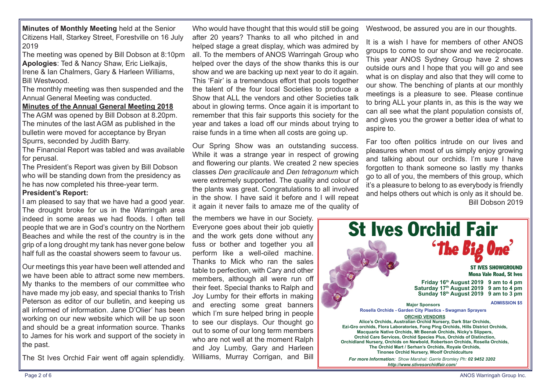**Minutes of Monthly Meeting** held at the Senior Citizens Hall, Starkey Street, Forestville on 16 July 2019

The meeting was opened by Bill Dobson at 8:10pm **Apologies**: Ted & Nancy Shaw, Eric Lielkajis, Irene & Ian Chalmers, Gary & Harleen Williams, Bill Westwood.

The monthly meeting was then suspended and the Annual General Meeting was conducted.

**Minutes of the Annual General Meeting 2018**

The AGM was opened by Bill Dobson at 8.20pm. The minutes of the last AGM as published in the bulletin were moved for acceptance by Bryan Spurrs, seconded by Judith Barry.

The Financial Report was tabled and was available for perusal.

The President's Report was given by Bill Dobson who will be standing down from the presidency as he has now completed his three-year term.

#### **President's Report:**

I am pleased to say that we have had a good year. The drought broke for us in the Warringah area indeed in some areas we had floods. I often tell people that we are in God's country on the Northern Beaches and while the rest of the country is in the grip of a long drought my tank has never gone below half full as the coastal showers seem to favour us.

Our meetings this year have been well attended and we have been able to attract some new members. My thanks to the members of our committee who have made my job easy, and special thanks to Trish Peterson as editor of our bulletin, and keeping us all informed of information. Jane D'Olier' has been working on our new website which will be up soon and should be a great information source. Thanks to James for his work and support of the society in the past.

The St Ives Orchid Fair went off again splendidly.

Who would have thought that this would still be going after 20 years? Thanks to all who pitched in and helped stage a great display, which was admired by all. To the members of ANOS Warringah Group who helped over the days of the show thanks this is our show and we are backing up next year to do it again. This 'Fair' is a tremendous effort that pools together the talent of the four local Societies to produce a Show that ALL the vendors and other Societies talk about in glowing terms. Once again it is important to remember that this fair supports this society for the year and takes a load off our minds about trying to raise funds in a time when all costs are going up.

Our Spring Show was an outstanding success. While it was a strange year in respect of growing and flowering our plants. We created 2 new species classes *Den gracilicaule* and *Den tetragonum* which were extremely supported. The quality and colour of the plants was great. Congratulations to all involved in the show. I have said it before and I will repeat it again it never fails to amaze me of the quality of

the members we have in our Society. Everyone goes about their job quietly and the work gets done without any fuss or bother and together you all perform like a well-oiled machine. Thanks to Mick who ran the sales table to perfection, with Cary and other members, although all were run of their feet. Special thanks to Ralph and Joy Lumby for their efforts in making and erecting some great banners which I'm sure helped bring in people to see our displays. Our thought go out to some of our long term members who are not well at the moment Ralph and Joy Lumby, Gary and Harleen Williams, Murray Corrigan, and Bill

Westwood, be assured you are in our thoughts.

It is a wish I have for members of other ANOS groups to come to our show and we reciprocate. This year ANOS Sydney Group have 2 shows outside ours and I hope that you will go and see what is on display and also that they will come to our show. The benching of plants at our monthly meetings is a pleasure to see. Please continue to bring ALL your plants in, as this is the way we can all see what the plant population consists of, and gives you the grower a better idea of what to aspire to.

Far too often politics intrude on our lives and pleasures when most of us simply enjoy growing and talking about our orchids. I'm sure I have forgotten to thank someone so lastly my thanks go to all of you, the members of this group, which it's a pleasure to belong to as everybody is friendly and helps others out which is only as it should be. Bill Dobson 2019

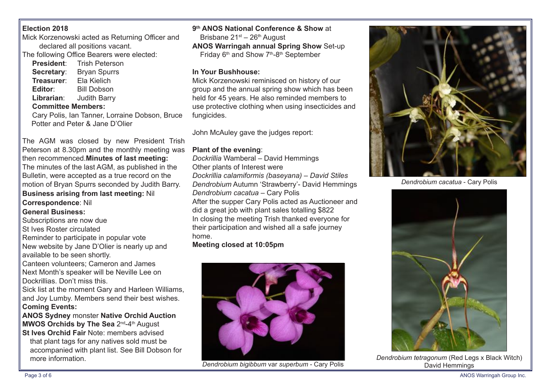# **Election 2018**

Mick Korzenowski acted as Returning Officer and declared all positions vacant.

The following Office Bearers were elected:

| <b>President:</b>         | <b>Trish Peterson</b> |  |  |  |
|---------------------------|-----------------------|--|--|--|
| Secretary:                | <b>Bryan Spurrs</b>   |  |  |  |
| Treasurer:                | Ela Kielich           |  |  |  |
| Editor:                   | <b>Bill Dobson</b>    |  |  |  |
| Librarian:                | <b>Judith Barry</b>   |  |  |  |
| <b>Committee Members:</b> |                       |  |  |  |

Cary Polis, Ian Tanner, Lorraine Dobson, Bruce Potter and Peter & Jane D'Olier

The AGM was closed by new President Trish Peterson at 8.30pm and the monthly meeting was then recommenced.**Minutes of last meeting:** The minutes of the last AGM, as published in the Bulletin, were accepted as a true record on the motion of Bryan Spurrs seconded by Judith Barry. **Business arising from last meeting:** Nil

## **Correspondence**: Nil

## **General Business:**

Subscriptions are now due

St Ives Roster circulated

Reminder to participate in popular vote New website by Jane D'Olier is nearly up and available to be seen shortly.

Canteen volunteers; Cameron and James Next Month's speaker will be Neville Lee on Dockrillias. Don't miss this.

Sick list at the moment Gary and Harleen Williams, and Joy Lumby. Members send their best wishes. **Coming Events:** 

**ANOS Sydney** monster **Native Orchid Auction MWOS Orchids by The Sea 2nd-4th August** 

**St Ives Orchid Fair** Note: members advised that plant tags for any natives sold must be accompanied with plant list. See Bill Dobson for more information.

#### **9th ANOS National Conference & Show** at

Brisbane  $21^{st}$  –  $26^{th}$  August

**ANOS Warringah annual Spring Show** Set-up Friday 6<sup>th</sup> and Show 7<sup>th</sup>-8<sup>th</sup> September

#### **In Your Bushhouse:**

Mick Korzenowski reminisced on history of our group and the annual spring show which has been held for 45 years. He also reminded members to use protective clothing when using insecticides and fungicides.

John McAuley gave the judges report:

## **Plant of the evening**:

*Dockrillia* Wamberal – David Hemmings

Other plants of Interest were

*Dockrillia calamiformis (baseyana) – David Stiles Dendrobium* Autumn 'Strawberry'- David Hemmings *Dendrobium cacatua* – Cary Polis

After the supper Cary Polis acted as Auctioneer and did a great job with plant sales totalling \$822 In closing the meeting Trish thanked everyone for their participation and wished all a safe journey home.

# **Meeting closed at 10:05pm**



**Dendrobium bigibbum var superbum - Cary Polis Cary Action Contract Cary Polis Cary Politics** David Hemmings



*Dendrobium cacatua* - Cary Polis



*Dendrobium tetragonum* (Red Legs x Black Witch)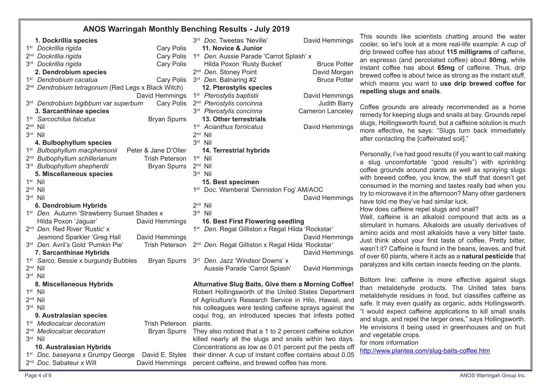# **ANOS Warringah Monthly Benching Results - July 2019**

| 1. Dockrillia species                                                   | 3rd Doc. Tweetas 'Neville'<br>David Hemmings                  |
|-------------------------------------------------------------------------|---------------------------------------------------------------|
| <b>Cary Polis</b><br>1 <sup>st</sup> Dockrillia rigida                  | 11. Novice & Junior                                           |
| 2 <sup>nd</sup> Dockrillia rigida<br><b>Cary Polis</b>                  | 1 <sup>st</sup> Den. Aussie Parade 'Carrot Splash' x          |
| 3 <sup>rd</sup> Dockrillia rigida<br><b>Cary Polis</b>                  | Hilda Poxon 'Rusty Bucket'<br><b>Bruce Potter</b>             |
| 2. Dendrobium species                                                   | David Morgan<br>2 <sup>nd</sup> Den. Stoney Point             |
| 1 <sup>st</sup> Dendrobium cacatua<br>Cary Polis                        | 3rd Den. Balnaring #2<br><b>Bruce Potter</b>                  |
| 2 <sup>nd</sup> Dendrobium tetragonum (Red Legs x Black Witch)          | 12. Pterostylis species                                       |
| David Hemmings                                                          | 1 <sup>st</sup> Pterostylis baptistii<br>David Hemmings       |
| 3 <sup>rd</sup> Dendrobium bigibbum var superbum<br><b>Cary Polis</b>   | 2 <sup>nd</sup> Pterostylis concinna<br><b>Judith Barry</b>   |
| 3. Sarcanthinae species                                                 | 3 <sup>rd</sup> Pterostylis concinna<br>Cameron Lanceley      |
| 1 <sup>st</sup> Sarcochilus falcatus<br><b>Bryan Spurrs</b>             | 13. Other terrestrials                                        |
| $2nd$ Nil                                                               | 1 <sup>st</sup> Acianthus fornicatus<br>David Hemmings        |
| 3rd Nil                                                                 | $2nd$ Nil                                                     |
| 4. Bulbophyllum species                                                 | 3rd Nil                                                       |
| 1 <sup>st</sup> Bulbophyllum macphersonii<br>Peter & Jane D'Olier       | 14. Terrestrial hybrids                                       |
| 2 <sup>nd</sup> Bulbophyllum schillerianum<br><b>Trish Peterson</b>     | $1st$ Nil                                                     |
| 3 <sup>rd</sup> Bulbophyllum shepherdii<br><b>Bryan Spurrs</b>          | $2nd$ Nil                                                     |
| 5. Miscellaneous species                                                | $3rd$ Nil                                                     |
| $1st$ Nil                                                               | 15. Best specimen                                             |
| $2nd$ Nil                                                               | 1 <sup>st</sup> Doc. Wamberal 'Denniston Fog' AM/AOC          |
| 3rd Nil                                                                 | David Hemmings                                                |
| 6. Dendrobium Hybrids                                                   | $2nd$ Nil                                                     |
| 1 <sup>st</sup> Den. Autumn 'Strawberry Sunset Shades x                 | 3rd Nil                                                       |
| Hilda Poxon 'Jaguar'<br>David Hemmings                                  | 16. Best First Flowering seedling                             |
| 2 <sup>nd</sup> Den. Red River 'Rustic' x                               | 1 <sup>st</sup> Den. Regal Gilliston x Regal Hilda 'Rockstar' |
| Jesmond Sparkler 'Greg Hall<br>David Hemmings                           | David Hemmings                                                |
| 3rd Den. Avril's Gold 'Pumkin Pie'<br><b>Trish Peterson</b>             | 2 <sup>nd</sup> Den. Regal Gilliston x Regal Hilda 'Rockstar' |
| 7. Sarcanthinae Hybrids                                                 | David Hemmings                                                |
| 1 <sup>st</sup> Sarco. Bessie x burgundy Bubbles<br><b>Bryan Spurrs</b> | 3rd Den. Jazz 'Windsor Downs' x                               |
| $2nd$ Nil                                                               | Aussie Parade 'Carrot Splash'<br>David Hemmings               |
| 3rd Nil                                                                 |                                                               |
| 8. Miscellaneous Hybrids                                                | Alturnative Slug Baits, Give them a Morning Coffee!           |
| $1st$ Nil                                                               | Robert Hollingsworth of the United States Department          |
| $2nd$ Nil                                                               | of Agriculture's Research Service in Hilo, Hawaii, and        |
| 3rd Nil                                                                 | his colleagues were testing caffeine sprays against the       |
| 9. Australasian species                                                 | coqui frog, an introduced species that infests potted         |
| 1 <sup>st</sup> Mediocalcar decoratum<br><b>Trish Peterson</b>          | plants.                                                       |
| 2 <sup>nd</sup> Mediocalcar decoratum<br><b>Bryan Spurrs</b>            | They also noticed that a 1 to 2 percent caffeine solution     |
| 3rd Nil                                                                 | killed nearly all the slugs and snails within two days.       |
| 10. Australasian Hybrids                                                | Concentrations as low as 0.01 percent put the pests off       |
| 1 <sup>st</sup> Doc. baseyana x Grumpy George<br>David E. Styles        | their dinner. A cup of instant coffee contains about 0.05     |
| 2 <sup>nd</sup> Doc. Sabateur x Will<br>David Hemmings                  | percent caffeine, and brewed coffee has more.                 |

| 3rd Doc. Tweetas 'Neville'<br>11. Novice & Junior             | David Hemmings      | i nis<br>cool |  |  |
|---------------------------------------------------------------|---------------------|---------------|--|--|
| 1 <sup>st</sup> Den. Aussie Parade 'Carrot Splash' x          |                     | drip          |  |  |
| Hilda Poxon 'Rusty Bucket'                                    | <b>Bruce Potter</b> | $an \epsilon$ |  |  |
| 2 <sup>nd</sup> Den. Stoney Point                             | David Morgan        | insta         |  |  |
| 3 <sup>rd</sup> Den. Balnaring #2                             | <b>Bruce Potter</b> | brev          |  |  |
| 12. Pterostylis species                                       |                     | whic          |  |  |
| 1 <sup>st</sup> Pterostylis baptistii                         | David Hemmings      | repe          |  |  |
| 2 <sup>nd</sup> Pterostylis concinna                          | <b>Judith Barry</b> |               |  |  |
| 3 <sup>rd</sup> Pterostylis concinna                          | Cameron Lanceley    | Coff          |  |  |
| 13. Other terrestrials                                        |                     | rem           |  |  |
| 1 <sup>st</sup> Acianthus fornicatus                          | David Hemmings      | slug          |  |  |
| $2nd$ Nil                                                     |                     | mor           |  |  |
| 3rd Nil                                                       |                     | afte          |  |  |
| 14. Terrestrial hybrids                                       |                     |               |  |  |
| $1st$ Nil                                                     |                     | Pers          |  |  |
| $2nd$ Nil                                                     |                     | a s           |  |  |
| 3rd Nil                                                       |                     | coff          |  |  |
| 15. Best specimen                                             |                     | with          |  |  |
| 1 <sup>st</sup> Doc. Wamberal 'Denniston Fog' AM/AOC          |                     |               |  |  |
|                                                               | David Hemmings      | try to        |  |  |
| $2nd$ Nil                                                     |                     | hav           |  |  |
| 3rd Nil                                                       |                     | How           |  |  |
| 16. Best First Flowering seedling                             |                     | Wel           |  |  |
| 1 <sup>st</sup> Den. Regal Gilliston x Regal Hilda 'Rockstar' |                     | stim          |  |  |
|                                                               | David Hemmings      | amiı          |  |  |
| 2 <sup>nd</sup> Den. Regal Gilliston x Regal Hilda 'Rockstar' |                     | Just          |  |  |
|                                                               | David Hemmings      | was           |  |  |
| 3rd Den. Jazz 'Windsor Downs' x                               |                     | of o          |  |  |
| Aussie Parade 'Carrot Splash'                                 | David Hemmings      | para          |  |  |
|                                                               |                     | <b>Bott</b>   |  |  |
| Alturnative Slug Baits, Give them a Morning Coffee!           |                     |               |  |  |
| Robert Hollingsworth of the United States Department          |                     | thar<br>met   |  |  |
| of Agriculture's Research Service in Hilo, Hawaii, and        |                     | $\sim$ -f-    |  |  |

sounds like scientists chatting around the water ler, so let's look at a more real-life example: A cup of brewed coffee has about **115 milligrams** of caffeine, espresso (and percolated coffee) about 80mg, while ant coffee has about 65mg of caffeine. Thus, drip wed coffee is about twice as strong as the instant stuff, ch means you want to use drip brewed coffee for **repelling slugs and snails**.

fee grounds are already recommended as a home edy for keeping slugs and snails at bay. Grounds repel 1s, Hollingsworth found, but a caffeine solution is much re effective, he says: "Slugs turn back immediately r contacting the [caffeinated soil]."

sonally, I've had good results (if you want to call making slug uncomfortable "good results") with sprinkling ee grounds around plants as well as spraying slugs brewed coffee, you know, the stuff that doesn't get sumed in the morning and tastes really bad when you to microwave it in the afternoon? Many other gardeners e told me they've had similar luck.

w does caffeine repel slugs and snail?

I, caffeine is an alkaloid compound that acts as a nulant in humans. Alkaloids are usually derivatives of no acids and most alkaloids have a very bitter taste. think about your first taste of coffee. Pretty bitter, m't it? Caffeine is found in the beans, leaves, and fruit ver 60 plants, where it acts as a **natural pesticide** that alyzes and kills certain insects feeding on the plants.

tom line: caffeine is more effective against slugs n metaldehyde products. The United tates bans aldehyde residues in food, but classifies caffeine as safe. It may even qualify as organic, adds Hollingsworth. "I would expect cafeine applications to kill small snails and slugs, and repel the larger ones," says Hollingsworth. He envisions it being used in greenhouses and on fruit and vegetable crops.

#### for more information

http://www.plantea.com/slug-baits-cofee.htm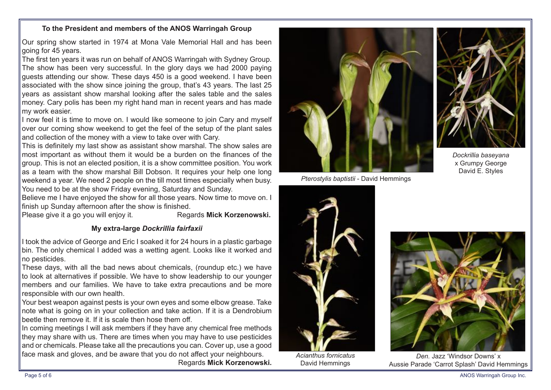#### **To the President and members of the ANOS Warringah Group**

Our spring show started in 1974 at Mona Vale Memorial Hall and has been going for 45 years.

The first ten years it was run on behalf of ANOS Warringah with Sydney Group. The show has been very successful. In the glory days we had 2000 paying guests attending our show. These days 450 is a good weekend. I have been associated with the show since joining the group, that's 43 years. The last 25 years as assistant show marshal looking after the sales table and the sales money. Cary polis has been my right hand man in recent years and has made my work easier.

I now feel it is time to move on. I would like someone to join Cary and myself over our coming show weekend to get the feel of the setup of the plant sales and collection of the money with a view to take over with Cary.

This is defnitely my last show as assistant show marshal. The show sales are most important as without them it would be a burden on the fnances of the group. This is not an elected position, it is a show committee position. You work as a team with the show marshal Bill Dobson. It requires your help one long weekend a year. We need 2 people on the till most times especially when busy. You need to be at the show Friday evening, Saturday and Sunday.

Believe me I have enjoyed the show for all those years. Now time to move on. I finish up Sunday afternoon after the show is finished.

Please give it a go you will enjoy it. Regards **Mick Korzenowski.** 

# **My extra-large** *Dockrillia fairfaxii*

I took the advice of George and Eric I soaked it for 24 hours in a plastic garbage bin. The only chemical I added was a wetting agent. Looks like it worked and no pesticides.

These days, with all the bad news about chemicals, (roundup etc.) we have to look at alternatives if possible. We have to show leadership to our younger members and our families. We have to take extra precautions and be more responsible with our own health.

Your best weapon against pests is your own eyes and some elbow grease. Take note what is going on in your collection and take action. If it is a Dendrobium beetle then remove it. If it is scale then hose them off.

In coming meetings I will ask members if they have any chemical free methods they may share with us. There are times when you may have to use pesticides and or chemicals. Please take all the precautions you can. Cover up, use a good face mask and gloves, and be aware that you do not afect your neighbours.

Regards **Mick Korzenowski.**







*Dockrillia baseyana* x Grumpy George David E. Styles



*Acianthus fornicatus* David Hemmings



*Den.* Jazz 'Windsor Downs' x Aussie Parade 'Carrot Splash' David Hemmings